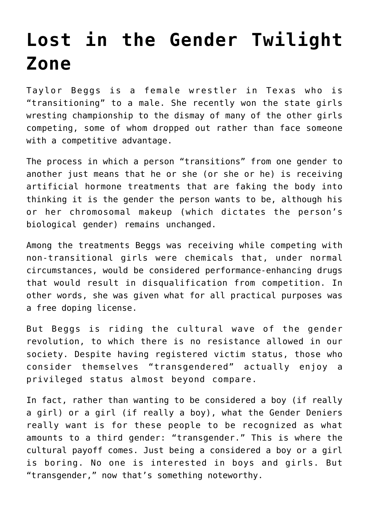## **[Lost in the Gender Twilight](https://intellectualtakeout.org/2017/03/lost-in-the-gender-twilight-zone/) [Zone](https://intellectualtakeout.org/2017/03/lost-in-the-gender-twilight-zone/)**

Taylor Beggs is a female wrestler in Texas who is "transitioning" to a male. She recently won the state girls wresting championship to the dismay of many of the other girls competing, some of whom dropped out rather than face someone with a competitive advantage.

The process in which a person "transitions" from one gender to another just means that he or she (or she or he) is receiving artificial hormone treatments that are faking the body into thinking it is the gender the person wants to be, although his or her chromosomal makeup (which dictates the person's biological gender) remains unchanged.

Among the treatments Beggs was receiving while competing with non-transitional girls were chemicals that, under normal circumstances, would be considered performance-enhancing drugs that would result in disqualification from competition. In other words, she was given what for all practical purposes was a free doping license.

But Beggs is riding the cultural wave of the gender revolution, to which there is no resistance allowed in our society. Despite having registered victim status, those who consider themselves "transgendered" actually enjoy a privileged status almost beyond compare.

In fact, rather than wanting to be considered a boy (if really a girl) or a girl (if really a boy), what the Gender Deniers really want is for these people to be recognized as what amounts to a third gender: "transgender." This is where the cultural payoff comes. Just being a considered a boy or a girl is boring. No one is interested in boys and girls. But "transgender," now that's something noteworthy.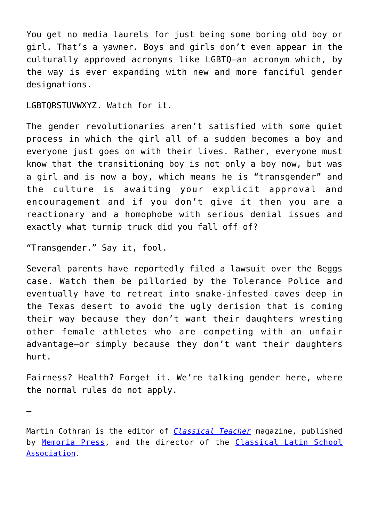You get no media laurels for just being some boring old boy or girl. That's a yawner. Boys and girls don't even appear in the culturally approved acronyms like LGBTQ—an acronym which, by the way is ever expanding with new and more fanciful gender designations.

LGBTQRSTUVWXYZ. Watch for it.

The gender revolutionaries aren't satisfied with some quiet process in which the girl all of a sudden becomes a boy and everyone just goes on with their lives. Rather, everyone must know that the transitioning boy is not only a boy now, but was a girl and is now a boy, which means he is "transgender" and the culture is awaiting your explicit approval and encouragement and if you don't give it then you are a reactionary and a homophobe with serious denial issues and exactly what turnip truck did you fall off of?

"Transgender." Say it, fool.

—

Several parents have reportedly filed a lawsuit over the Beggs case. Watch them be pilloried by the Tolerance Police and eventually have to retreat into snake-infested caves deep in the Texas desert to avoid the ugly derision that is coming their way because they don't want their daughters wresting other female athletes who are competing with an unfair advantage—or simply because they don't want their daughters hurt.

Fairness? Health? Forget it. We're talking gender here, where the normal rules do not apply.

Martin Cothran is the editor of *[Classical Teacher](https://www.memoriapress.com/classical-catalog/)* magazine, published by [Memoria Press,](https://www.memoriapress.com/) and the director of the [Classical Latin School](http://classicallatin.org/) [Association.](http://classicallatin.org/)